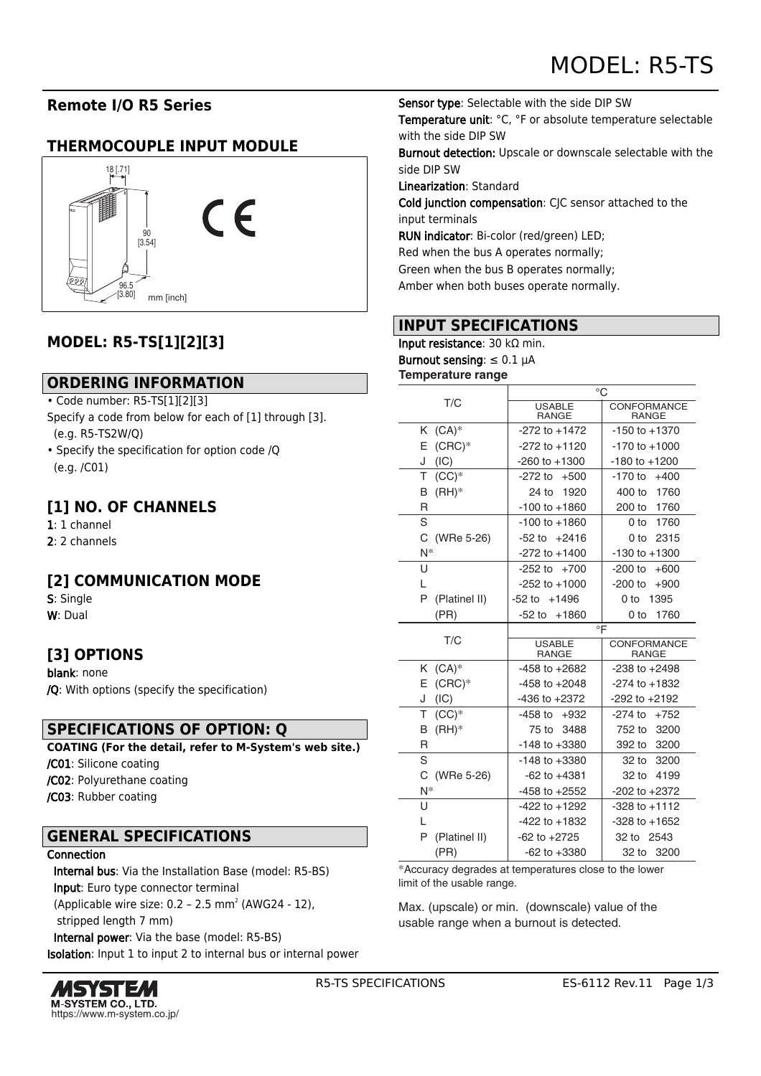# **Remote I/O R5 Series**

## **THERMOCOUPLE INPUT MODULE**



## **MODEL: R5-TS[1][2][3]**

## **ORDERING INFORMATION**

- Code number: R5-TS[1][2][3]
- Specify a code from below for each of [1] through [3]. (e.g. R5-TS2W/Q)
- Specify the specification for option code /Q (e.g. /C01)

## **[1] NO. OF CHANNELS**

- 1: 1 channel
- 2: 2 channels

## **[2] COMMUNICATION MODE**

S: Single W: Dual

## **[3] OPTIONS**

blank: none /Q: With options (specify the specification)

## **SPECIFICATIONS OF OPTION: Q**

**COATING (For the detail, refer to M-System's web site.)** /C01: Silicone coating /C02: Polyurethane coating /C03: Rubber coating

## **GENERAL SPECIFICATIONS**

#### Connection

 Internal bus: Via the Installation Base (model: R5-BS) Input: Euro type connector terminal (Applicable wire size:  $0.2 - 2.5$  mm<sup>2</sup> (AWG24 - 12), stripped length 7 mm)

 Internal power: Via the base (model: R5-BS) Isolation: Input 1 to input 2 to internal bus or internal power



Sensor type: Selectable with the side DIP SW Temperature unit: °C, °F or absolute temperature selectable with the side DIP SW

Burnout detection: Upscale or downscale selectable with the side DIP SW

Linearization: Standard

Cold junction compensation: CJC sensor attached to the input terminals

RUN indicator: Bi-color (red/green) LED;

Red when the bus A operates normally;

Green when the bus B operates normally;

Amber when both buses operate normally.

## **INPUT SPECIFICATIONS**

Input resistance: 30 kΩ min. Burnout sensing:  $\leq 0.1$   $\mu$ A

**Temperature range**

|                    | $^{\circ}$ C                  |                             |
|--------------------|-------------------------------|-----------------------------|
| T/C                | <b>USABLE</b><br><b>RANGE</b> | CONFORMANCE<br><b>RANGE</b> |
| $(CA)^*$<br>K.     | $-272$ to $+1472$             | $-150$ to $+1370$           |
| E<br>$(CRC)*$      | $-272$ to $+1120$             | $-170$ to $+1000$           |
| (IC)<br>J          | $-260$ to $+1300$             | $-180$ to $+1200$           |
| т<br>$(CC)*$       | -272 to<br>$+500$             | $-170$ to<br>$+400$         |
| $(HH)^*$<br>В      | 1920<br>24 to                 | 400 to<br>1760              |
| R                  | $-100$ to $+1860$             | 200 to<br>1760              |
| S                  | $-100$ to $+1860$             | 1760<br>0 to                |
| C<br>(WRe 5-26)    | $-52$ to<br>+2416             | 2315<br>0 to                |
| N*                 | $-272$ to $+1400$             | $-130$ to $+1300$           |
| U                  | $-252$ to $+700$              | $-200$ to<br>$+600$         |
| L                  | $-252$ to $+1000$             | $-200$ to<br>$+900$         |
| P<br>(Platinel II) | $-52$ to $+1496$              | 0 to<br>1395                |
| (PR)               | $-52$ to<br>$+1860$           | 1760<br>0 to                |
|                    | $\circ$ F                     |                             |
|                    |                               |                             |
| T/C                | <b>USABLE</b><br><b>RANGE</b> | CONFORMANCE<br><b>RANGE</b> |
| $(CA)^*$<br>K.     | $-458$ to $+2682$             | $-238$ to $+2498$           |
| $(CRC)*$<br>E      | $-458$ to $+2048$             | $-274$ to $+1832$           |
| (IC)<br>J          | $-436$ to $+2372$             | $-292$ to $+2192$           |
| Τ<br>$(CC)*$       | $-458$ to $+932$              | $-274$ to $+752$            |
| $(HH)^*$<br>B      | 3488<br>75 to                 | 3200<br>752 to              |
| R                  | $-148$ to $+3380$             | 392 to<br>3200              |
| S                  | $-148$ to $+3380$             | 3200<br>32 to               |
| C<br>(WRe 5-26)    | $-62$ to $+4381$              | 32 to<br>4199               |
| N*                 | $-458$ to $+2552$             | $-202$ to $+2372$           |
| U                  | -422 to +1292                 | $-328$ to $+1112$           |
| L                  | -422 to +1832                 | $-328$ to $+1652$           |
| (Platinel II)<br>Р | $-62$ to $+2725$              | 32 to 2543                  |

\*Accuracy degrades at temperatures close to the lower limit of the usable range.

Max. (upscale) or min. (downscale) value of the usable range when a burnout is detected.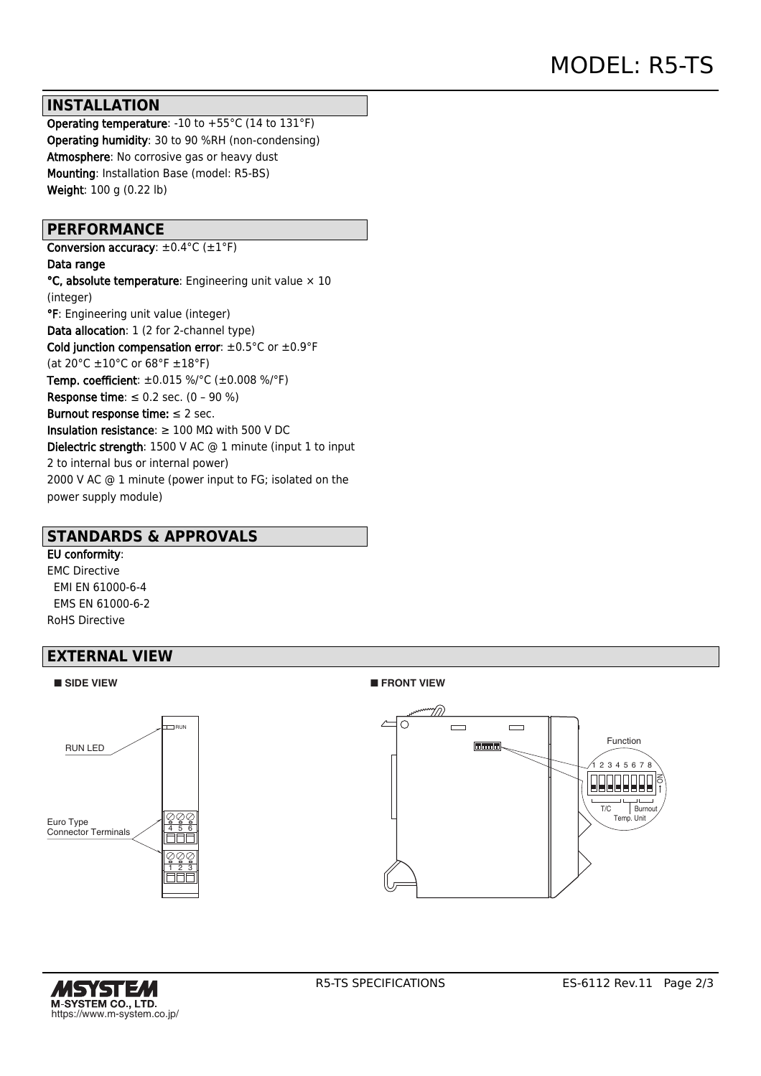#### **INSTALLATION**

Operating temperature: -10 to +55°C (14 to 131°F) Operating humidity: 30 to 90 %RH (non-condensing) Atmosphere: No corrosive gas or heavy dust Mounting: Installation Base (model: R5-BS) Weight: 100 g (0.22 lb)

#### **PERFORMANCE**

Conversion accuracy:  $\pm 0.4$ °C ( $\pm 1$ °F) Data range  $°C$ , absolute temperature: Engineering unit value  $\times$  10 (integer) °F: Engineering unit value (integer) Data allocation: 1 (2 for 2-channel type) Cold junction compensation error:  $\pm 0.5^{\circ}$ C or  $\pm 0.9^{\circ}$ F (at 20°C ±10°C or 68°F ±18°F) Temp. coefficient: ±0.015 %/°C (±0.008 %/°F) Response time:  $\leq 0.2$  sec. (0 - 90 %) Burnout response time:  $\leq 2$  sec. Insulation resistance:  $\geq 100$  M $\Omega$  with 500 V DC Dielectric strength: 1500 V AC @ 1 minute (input 1 to input 2 to internal bus or internal power) 2000 V AC @ 1 minute (power input to FG; isolated on the power supply module)

#### **STANDARDS & APPROVALS**

#### EU conformity:

EMC Directive EMI EN 61000-6-4 EMS EN 61000-6-2 RoHS Directive

## **EXTERNAL VIEW**



#### ■ **SIDE VIEW** ■ **FRONT VIEW**